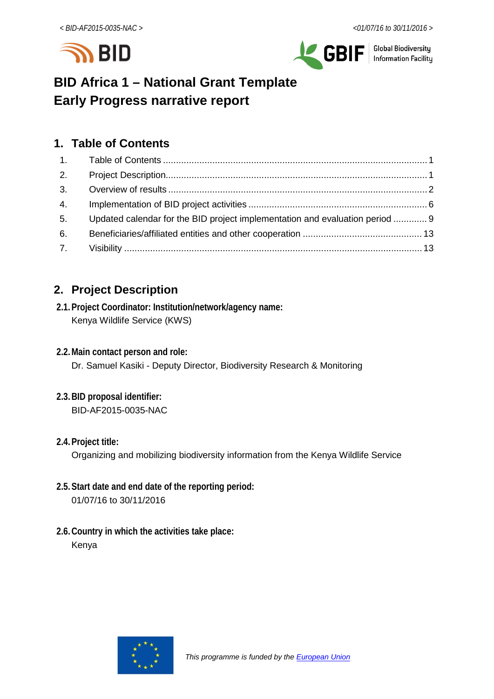



# **BID Africa 1 – National Grant Template Early Progress narrative report**

# <span id="page-0-0"></span>**1. Table of Contents**

| 3. |                                                                              |
|----|------------------------------------------------------------------------------|
|    |                                                                              |
|    |                                                                              |
|    |                                                                              |
|    |                                                                              |
|    | Updated calendar for the BID project implementation and evaluation period  9 |

# <span id="page-0-1"></span>**2. Project Description**

- **2.1.Project Coordinator: Institution/network/agency name:** Kenya Wildlife Service (KWS)
- **2.2.Main contact person and role:** Dr. Samuel Kasiki - Deputy Director, Biodiversity Research & Monitoring
- **2.3.BID proposal identifier:** BID-AF2015-0035-NAC
- **2.4.Project title:**

Organizing and mobilizing biodiversity information from the Kenya Wildlife Service

- **2.5.Start date and end date of the reporting period:** 01/07/16 to 30/11/2016
- **2.6.Country in which the activities take place:** Kenya

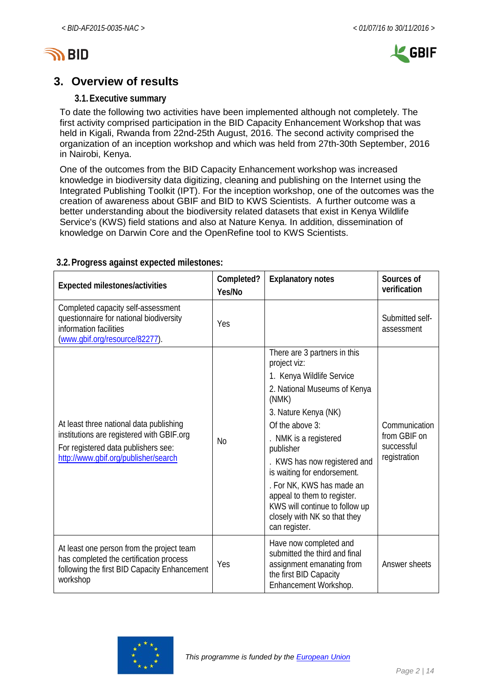



## <span id="page-1-0"></span>**3. Overview of results**

## **3.1.Executive summary**

To date the following two activities have been implemented although not completely. The first activity comprised participation in the BID Capacity Enhancement Workshop that was held in Kigali, Rwanda from 22nd-25th August, 2016. The second activity comprised the organization of an inception workshop and which was held from 27th-30th September, 2016 in Nairobi, Kenya.

One of the outcomes from the BID Capacity Enhancement workshop was increased knowledge in biodiversity data digitizing, cleaning and publishing on the Internet using the Integrated Publishing Toolkit (IPT). For the inception workshop, one of the outcomes was the creation of awareness about GBIF and BID to KWS Scientists. A further outcome was a better understanding about the biodiversity related datasets that exist in Kenya Wildlife Service's (KWS) field stations and also at Nature Kenya. In addition, dissemination of knowledge on Darwin Core and the OpenRefine tool to KWS Scientists.

| Expected milestones/activities                                                                                                                                      | Completed?<br>Yes/No | <b>Explanatory notes</b>                                                                                                                                                                                                                                                                                                                                                                                        | Sources of<br>verification                                  |
|---------------------------------------------------------------------------------------------------------------------------------------------------------------------|----------------------|-----------------------------------------------------------------------------------------------------------------------------------------------------------------------------------------------------------------------------------------------------------------------------------------------------------------------------------------------------------------------------------------------------------------|-------------------------------------------------------------|
| Completed capacity self-assessment<br>questionnaire for national biodiversity<br>information facilities<br>(www.gbif.org/resource/82277).                           | Yes                  |                                                                                                                                                                                                                                                                                                                                                                                                                 | Submitted self-<br>assessment                               |
| At least three national data publishing<br>institutions are registered with GBIF.org<br>For registered data publishers see:<br>http://www.qbif.org/publisher/search | No                   | There are 3 partners in this<br>project viz:<br>1. Kenya Wildlife Service<br>2. National Museums of Kenya<br>(NMK)<br>3. Nature Kenya (NK)<br>Of the above 3:<br>. NMK is a registered<br>publisher<br>KWS has now registered and<br>is waiting for endorsement.<br>. For NK, KWS has made an<br>appeal to them to register.<br>KWS will continue to follow up<br>closely with NK so that they<br>can register. | Communication<br>from GBIF on<br>successful<br>registration |
| At least one person from the project team<br>has completed the certification process<br>following the first BID Capacity Enhancement<br>workshop                    | Yes                  | Have now completed and<br>submitted the third and final<br>assignment emanating from<br>the first BID Capacity<br>Enhancement Workshop.                                                                                                                                                                                                                                                                         | Answer sheets                                               |

## **3.2.Progress against expected milestones:**

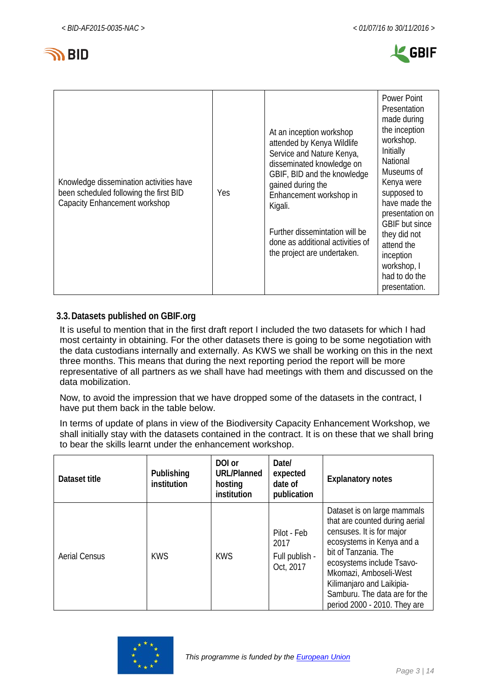



| Knowledge dissemination activities have<br>been scheduled following the first BID<br>Capacity Enhancement workshop | Yes | At an inception workshop<br>attended by Kenya Wildlife<br>Service and Nature Kenya,<br>disseminated knowledge on<br>GBIF, BID and the knowledge<br>gained during the<br>Enhancement workshop in<br>Kigali.<br>Further dissemintation will be<br>done as additional activities of<br>the project are undertaken. | Power Point<br>Presentation<br>made during<br>the inception<br>workshop.<br>Initially<br>National<br>Museums of<br>Kenya were<br>supposed to<br>have made the<br>presentation on<br><b>GBIF</b> but since<br>they did not<br>attend the<br>inception<br>workshop, I<br>had to do the<br>presentation. |
|--------------------------------------------------------------------------------------------------------------------|-----|-----------------------------------------------------------------------------------------------------------------------------------------------------------------------------------------------------------------------------------------------------------------------------------------------------------------|-------------------------------------------------------------------------------------------------------------------------------------------------------------------------------------------------------------------------------------------------------------------------------------------------------|
|--------------------------------------------------------------------------------------------------------------------|-----|-----------------------------------------------------------------------------------------------------------------------------------------------------------------------------------------------------------------------------------------------------------------------------------------------------------------|-------------------------------------------------------------------------------------------------------------------------------------------------------------------------------------------------------------------------------------------------------------------------------------------------------|

## **3.3.Datasets published on GBIF.org**

It is useful to mention that in the first draft report I included the two datasets for which I had most certainty in obtaining. For the other datasets there is going to be some negotiation with the data custodians internally and externally. As KWS we shall be working on this in the next three months. This means that during the next reporting period the report will be more representative of all partners as we shall have had meetings with them and discussed on the data mobilization.

Now, to avoid the impression that we have dropped some of the datasets in the contract, I have put them back in the table below.

In terms of update of plans in view of the Biodiversity Capacity Enhancement Workshop, we shall initially stay with the datasets contained in the contract. It is on these that we shall bring to bear the skills learnt under the enhancement workshop.

| Dataset title        | Publishing<br>institution | DOI or<br><b>URL/Planned</b><br>hosting<br>institution | Date/<br>expected<br>date of<br>publication        | <b>Explanatory notes</b>                                                                                                                                                                                                                                                                             |
|----------------------|---------------------------|--------------------------------------------------------|----------------------------------------------------|------------------------------------------------------------------------------------------------------------------------------------------------------------------------------------------------------------------------------------------------------------------------------------------------------|
| <b>Aerial Census</b> | <b>KWS</b>                | <b>KWS</b>                                             | Pilot - Feb<br>2017<br>Full publish -<br>Oct, 2017 | Dataset is on large mammals<br>that are counted during aerial<br>censuses. It is for major<br>ecosystems in Kenya and a<br>bit of Tanzania. The<br>ecosystems include Tsavo-<br>Mkomazi, Amboseli-West<br>Kilimanjaro and Laikipia-<br>Samburu. The data are for the<br>period 2000 - 2010. They are |

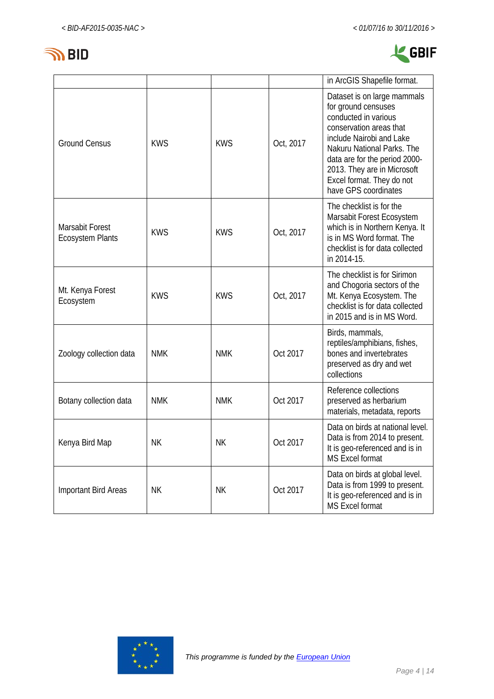



|                                            |            |            |           | in ArcGIS Shapefile format.                                                                                                                                                                                                                                                          |
|--------------------------------------------|------------|------------|-----------|--------------------------------------------------------------------------------------------------------------------------------------------------------------------------------------------------------------------------------------------------------------------------------------|
| <b>Ground Census</b>                       | <b>KWS</b> | <b>KWS</b> | Oct, 2017 | Dataset is on large mammals<br>for ground censuses<br>conducted in various<br>conservation areas that<br>include Nairobi and Lake<br>Nakuru National Parks. The<br>data are for the period 2000-<br>2013. They are in Microsoft<br>Excel format. They do not<br>have GPS coordinates |
| Marsabit Forest<br><b>Ecosystem Plants</b> | <b>KWS</b> | <b>KWS</b> | Oct, 2017 | The checklist is for the<br>Marsabit Forest Ecosystem<br>which is in Northern Kenya. It<br>is in MS Word format. The<br>checklist is for data collected<br>in 2014-15.                                                                                                               |
| Mt. Kenya Forest<br>Ecosystem              | <b>KWS</b> | <b>KWS</b> | Oct, 2017 | The checklist is for Sirimon<br>and Chogoria sectors of the<br>Mt. Kenya Ecosystem. The<br>checklist is for data collected<br>in 2015 and is in MS Word.                                                                                                                             |
| Zoology collection data                    | <b>NMK</b> | <b>NMK</b> | Oct 2017  | Birds, mammals,<br>reptiles/amphibians, fishes,<br>bones and invertebrates<br>preserved as dry and wet<br>collections                                                                                                                                                                |
| Botany collection data                     | <b>NMK</b> | <b>NMK</b> | Oct 2017  | Reference collections<br>preserved as herbarium<br>materials, metadata, reports                                                                                                                                                                                                      |
| Kenya Bird Map                             | <b>NK</b>  | <b>NK</b>  | Oct 2017  | Data on birds at national level.<br>Data is from 2014 to present.<br>It is geo-referenced and is in<br><b>MS Excel format</b>                                                                                                                                                        |
| Important Bird Areas                       | <b>NK</b>  | ΝK         | Oct 2017  | Data on birds at global level.<br>Data is from 1999 to present.<br>It is geo-referenced and is in<br><b>MS Excel format</b>                                                                                                                                                          |

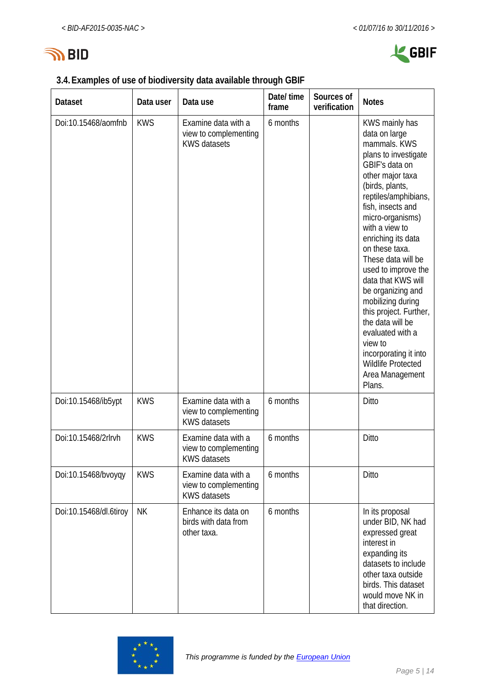

|  |  | 3.4. Examples of use of biodiversity data available through GBIF |  |
|--|--|------------------------------------------------------------------|--|
|  |  |                                                                  |  |

| <b>Dataset</b>         | Data user  | Data use                                                            | Date/ time<br>frame | Sources of<br>verification | <b>Notes</b>                                                                                                                                                                                                                                                                                                                                                                                                                                                                                                                             |
|------------------------|------------|---------------------------------------------------------------------|---------------------|----------------------------|------------------------------------------------------------------------------------------------------------------------------------------------------------------------------------------------------------------------------------------------------------------------------------------------------------------------------------------------------------------------------------------------------------------------------------------------------------------------------------------------------------------------------------------|
| Doi:10.15468/aomfnb    | <b>KWS</b> | Examine data with a<br>view to complementing<br><b>KWS datasets</b> | 6 months            |                            | KWS mainly has<br>data on large<br>mammals. KWS<br>plans to investigate<br>GBIF's data on<br>other major taxa<br>(birds, plants,<br>reptiles/amphibians,<br>fish, insects and<br>micro-organisms)<br>with a view to<br>enriching its data<br>on these taxa.<br>These data will be<br>used to improve the<br>data that KWS will<br>be organizing and<br>mobilizing during<br>this project. Further,<br>the data will be<br>evaluated with a<br>view to<br>incorporating it into<br><b>Wildlife Protected</b><br>Area Management<br>Plans. |
| Doi:10.15468/ib5ypt    | <b>KWS</b> | Examine data with a<br>view to complementing<br><b>KWS datasets</b> | 6 months            |                            | Ditto                                                                                                                                                                                                                                                                                                                                                                                                                                                                                                                                    |
| Doi:10.15468/2rlrvh    | <b>KWS</b> | Examine data with a<br>view to complementing<br>KWS datasets        | 6 months            |                            | Ditto                                                                                                                                                                                                                                                                                                                                                                                                                                                                                                                                    |
| Doi:10.15468/bvoyqy    | <b>KWS</b> | Examine data with a<br>view to complementing<br><b>KWS datasets</b> | 6 months            |                            | Ditto                                                                                                                                                                                                                                                                                                                                                                                                                                                                                                                                    |
| Doi:10.15468/dl.6tiroy | <b>NK</b>  | Enhance its data on<br>birds with data from<br>other taxa.          | 6 months            |                            | In its proposal<br>under BID, NK had<br>expressed great<br>interest in<br>expanding its<br>datasets to include<br>other taxa outside<br>birds. This dataset<br>would move NK in<br>that direction.                                                                                                                                                                                                                                                                                                                                       |

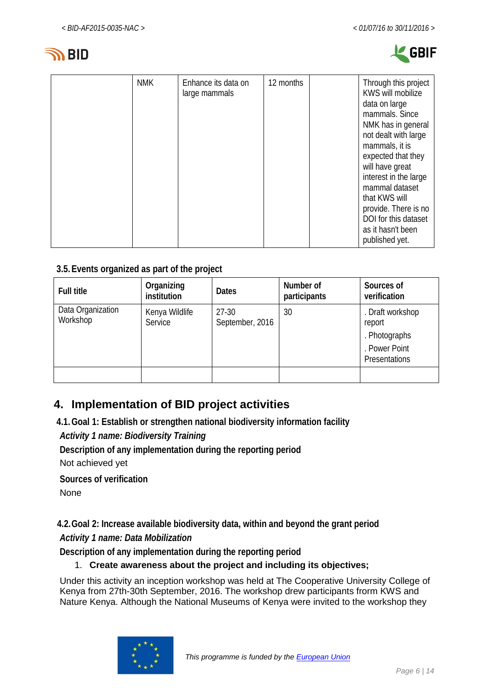



| as it hasn't been<br>published yet. |
|-------------------------------------|
|-------------------------------------|

## **3.5.Events organized as part of the project**

| <b>Full title</b>             | Organizing<br>institution | <b>Dates</b>               | Number of<br>participants | Sources of<br>verification                                                    |
|-------------------------------|---------------------------|----------------------------|---------------------------|-------------------------------------------------------------------------------|
| Data Organization<br>Workshop | Kenya Wildlife<br>Service | $27-30$<br>September, 2016 | 30                        | . Draft workshop<br>report<br>. Photographs<br>. Power Point<br>Presentations |
|                               |                           |                            |                           |                                                                               |

# <span id="page-5-0"></span>**4. Implementation of BID project activities**

**4.1.Goal 1: Establish or strengthen national biodiversity information facility**

*Activity 1 name: Biodiversity Training*

**Description of any implementation during the reporting period** Not achieved yet

**Sources of verification**

None

**4.2.Goal 2: Increase available biodiversity data, within and beyond the grant period**

*Activity 1 name: Data Mobilization*

**Description of any implementation during the reporting period**

## 1. **Create awareness about the project and including its objectives;**

Under this activity an inception workshop was held at The Cooperative University College of Kenya from 27th-30th September, 2016. The workshop drew participants frorm KWS and Nature Kenya. Although the National Museums of Kenya were invited to the workshop they

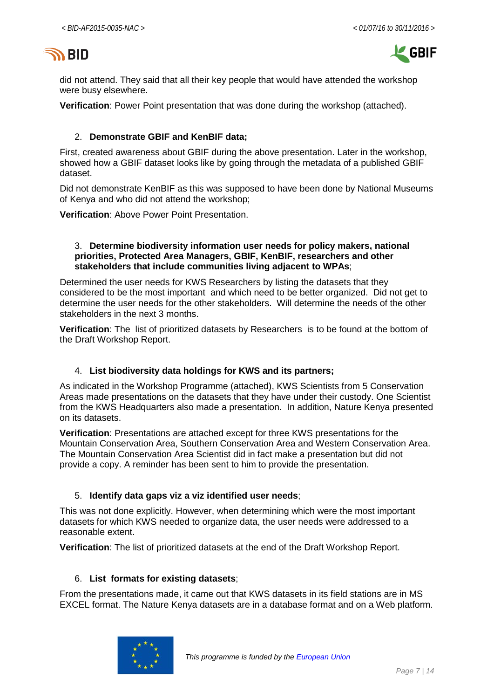



did not attend. They said that all their key people that would have attended the workshop were busy elsewhere.

**Verification**: Power Point presentation that was done during the workshop (attached).

#### 2. **Demonstrate GBIF and KenBIF data;**

First, created awareness about GBIF during the above presentation. Later in the workshop, showed how a GBIF dataset looks like by going through the metadata of a published GBIF dataset.

Did not demonstrate KenBIF as this was supposed to have been done by National Museums of Kenya and who did not attend the workshop;

**Verification**: Above Power Point Presentation.

#### 3. **Determine biodiversity information user needs for policy makers, national priorities, Protected Area Managers, GBIF, KenBIF, researchers and other stakeholders that include communities living adjacent to WPAs**;

Determined the user needs for KWS Researchers by listing the datasets that they considered to be the most important and which need to be better organized. Did not get to determine the user needs for the other stakeholders. Will determine the needs of the other stakeholders in the next 3 months.

**Verification**: The list of prioritized datasets by Researchers is to be found at the bottom of the Draft Workshop Report.

#### 4. **List biodiversity data holdings for KWS and its partners;**

As indicated in the Workshop Programme (attached), KWS Scientists from 5 Conservation Areas made presentations on the datasets that they have under their custody. One Scientist from the KWS Headquarters also made a presentation. In addition, Nature Kenya presented on its datasets.

**Verification**: Presentations are attached except for three KWS presentations for the Mountain Conservation Area, Southern Conservation Area and Western Conservation Area. The Mountain Conservation Area Scientist did in fact make a presentation but did not provide a copy. A reminder has been sent to him to provide the presentation.

#### 5. **Identify data gaps viz a viz identified user needs**;

This was not done explicitly. However, when determining which were the most important datasets for which KWS needed to organize data, the user needs were addressed to a reasonable extent.

**Verification**: The list of prioritized datasets at the end of the Draft Workshop Report.

#### 6. **List formats for existing datasets**;

From the presentations made, it came out that KWS datasets in its field stations are in MS EXCEL format. The Nature Kenya datasets are in a database format and on a Web platform.

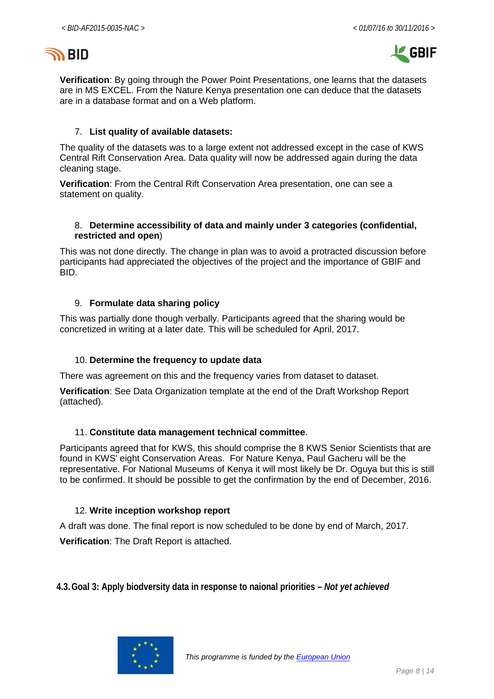



**Verification**: By going through the Power Point Presentations, one learns that the datasets are in MS EXCEL. From the Nature Kenya presentation one can deduce that the datasets are in a database format and on a Web platform.

#### 7. **List quality of available datasets:**

The quality of the datasets was to a large extent not addressed except in the case of KWS Central Rift Conservation Area. Data quality will now be addressed again during the data cleaning stage.

**Verification**: From the Central Rift Conservation Area presentation, one can see a statement on quality.

#### 8. **Determine accessibility of data and mainly under 3 categories (confidential, restricted and open**)

This was not done directly. The change in plan was to avoid a protracted discussion before participants had appreciated the objectives of the project and the importance of GBIF and BID.

#### 9. **Formulate data sharing policy**

This was partially done though verbally. Participants agreed that the sharing would be concretized in writing at a later date. This will be scheduled for April, 2017.

#### 10. **Determine the frequency to update data**

There was agreement on this and the frequency varies from dataset to dataset.

**Verification**: See Data Organization template at the end of the Draft Workshop Report (attached).

#### 11. **Constitute data management technical committee**.

Participants agreed that for KWS, this should comprise the 8 KWS Senior Scientists that are found in KWS' eight Conservation Areas. For Nature Kenya, Paul Gacheru will be the representative. For National Museums of Kenya it will most likely be Dr. Oguya but this is still to be confirmed. It should be possible to get the confirmation by the end of December, 2016.

#### 12. **Write inception workshop report**

A draft was done. The final report is now scheduled to be done by end of March, 2017.

**Verification**: The Draft Report is attached.

**4.3.Goal 3: Apply biodversity data in response to naional priorities –** *Not yet achieved*

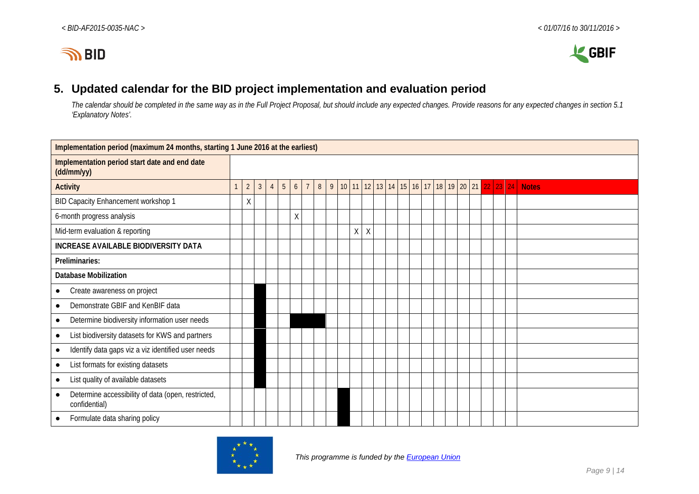

# **5. Updated calendar for the BID project implementation and evaluation period**

*The calendar should be completed in the same way as in the Full Project Proposal, but should include any expected changes. Provide reasons for any expected changes in section 5.1 'Explanatory Notes'.*

<span id="page-8-0"></span>

| Implementation period (maximum 24 months, starting 1 June 2016 at the earliest) |   |                |                |  |   |        |  |                |   |              |   |        |  |  |                |    |         |    |  |                           |              |
|---------------------------------------------------------------------------------|---|----------------|----------------|--|---|--------|--|----------------|---|--------------|---|--------|--|--|----------------|----|---------|----|--|---------------------------|--------------|
| Implementation period start date and end date<br>$(dd/\text{mm/yy})$            |   |                |                |  |   |        |  |                |   |              |   |        |  |  |                |    |         |    |  |                           |              |
| <b>Activity</b>                                                                 | 1 | $\overline{2}$ | $\mathfrak{Z}$ |  | 5 | 6      |  | 8 <sup>1</sup> | 9 | $10 \mid 11$ |   | 12     |  |  | 13 14 15 16 17 | 18 | $19$ 20 | 21 |  | $22 \mid 23 \mid 24 \mid$ | <b>Notes</b> |
| BID Capacity Enhancement workshop 1                                             |   | Χ              |                |  |   |        |  |                |   |              |   |        |  |  |                |    |         |    |  |                           |              |
| 6-month progress analysis                                                       |   |                |                |  |   | $\chi$ |  |                |   |              |   |        |  |  |                |    |         |    |  |                           |              |
| Mid-term evaluation & reporting                                                 |   |                |                |  |   |        |  |                |   |              | X | $\chi$ |  |  |                |    |         |    |  |                           |              |
| <b>INCREASE AVAILABLE BIODIVERSITY DATA</b>                                     |   |                |                |  |   |        |  |                |   |              |   |        |  |  |                |    |         |    |  |                           |              |
| Preliminaries:                                                                  |   |                |                |  |   |        |  |                |   |              |   |        |  |  |                |    |         |    |  |                           |              |
| <b>Database Mobilization</b>                                                    |   |                |                |  |   |        |  |                |   |              |   |        |  |  |                |    |         |    |  |                           |              |
| Create awareness on project                                                     |   |                |                |  |   |        |  |                |   |              |   |        |  |  |                |    |         |    |  |                           |              |
| Demonstrate GBIF and KenBIF data<br>$\bullet$                                   |   |                |                |  |   |        |  |                |   |              |   |        |  |  |                |    |         |    |  |                           |              |
| Determine biodiversity information user needs<br>$\bullet$                      |   |                |                |  |   |        |  |                |   |              |   |        |  |  |                |    |         |    |  |                           |              |
| List biodiversity datasets for KWS and partners                                 |   |                |                |  |   |        |  |                |   |              |   |        |  |  |                |    |         |    |  |                           |              |
| Identify data gaps viz a viz identified user needs<br>$\bullet$                 |   |                |                |  |   |        |  |                |   |              |   |        |  |  |                |    |         |    |  |                           |              |
| List formats for existing datasets<br>$\bullet$                                 |   |                |                |  |   |        |  |                |   |              |   |        |  |  |                |    |         |    |  |                           |              |
| List quality of available datasets<br>$\bullet$                                 |   |                |                |  |   |        |  |                |   |              |   |        |  |  |                |    |         |    |  |                           |              |
| Determine accessibility of data (open, restricted,<br>confidential)             |   |                |                |  |   |        |  |                |   |              |   |        |  |  |                |    |         |    |  |                           |              |
| Formulate data sharing policy                                                   |   |                |                |  |   |        |  |                |   |              |   |        |  |  |                |    |         |    |  |                           |              |

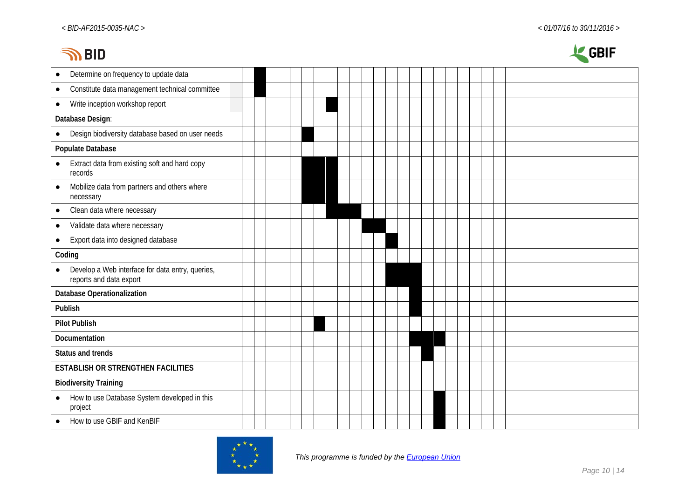# **INBID**



| Determine on frequency to update data<br>$\bullet$                          |  |  |  |  |  |  |  |  |  |  |  |  |  |
|-----------------------------------------------------------------------------|--|--|--|--|--|--|--|--|--|--|--|--|--|
| Constitute data management technical committee<br>$\bullet$                 |  |  |  |  |  |  |  |  |  |  |  |  |  |
| Write inception workshop report<br>$\bullet$                                |  |  |  |  |  |  |  |  |  |  |  |  |  |
| Database Design:                                                            |  |  |  |  |  |  |  |  |  |  |  |  |  |
| Design biodiversity database based on user needs<br>$\bullet$               |  |  |  |  |  |  |  |  |  |  |  |  |  |
| Populate Database                                                           |  |  |  |  |  |  |  |  |  |  |  |  |  |
| Extract data from existing soft and hard copy<br>$\bullet$<br>records       |  |  |  |  |  |  |  |  |  |  |  |  |  |
| Mobilize data from partners and others where<br>$\bullet$<br>necessary      |  |  |  |  |  |  |  |  |  |  |  |  |  |
| Clean data where necessary<br>$\bullet$                                     |  |  |  |  |  |  |  |  |  |  |  |  |  |
| Validate data where necessary<br>$\bullet$                                  |  |  |  |  |  |  |  |  |  |  |  |  |  |
| Export data into designed database<br>$\bullet$                             |  |  |  |  |  |  |  |  |  |  |  |  |  |
| Coding                                                                      |  |  |  |  |  |  |  |  |  |  |  |  |  |
| Develop a Web interface for data entry, queries,<br>reports and data export |  |  |  |  |  |  |  |  |  |  |  |  |  |
| <b>Database Operationalization</b>                                          |  |  |  |  |  |  |  |  |  |  |  |  |  |
| Publish                                                                     |  |  |  |  |  |  |  |  |  |  |  |  |  |
| <b>Pilot Publish</b>                                                        |  |  |  |  |  |  |  |  |  |  |  |  |  |
| Documentation                                                               |  |  |  |  |  |  |  |  |  |  |  |  |  |
| Status and trends                                                           |  |  |  |  |  |  |  |  |  |  |  |  |  |
| <b>ESTABLISH OR STRENGTHEN FACILITIES</b>                                   |  |  |  |  |  |  |  |  |  |  |  |  |  |
| <b>Biodiversity Training</b>                                                |  |  |  |  |  |  |  |  |  |  |  |  |  |
| How to use Database System developed in this<br>$\bullet$<br>project        |  |  |  |  |  |  |  |  |  |  |  |  |  |
| How to use GBIF and KenBIF                                                  |  |  |  |  |  |  |  |  |  |  |  |  |  |
|                                                                             |  |  |  |  |  |  |  |  |  |  |  |  |  |

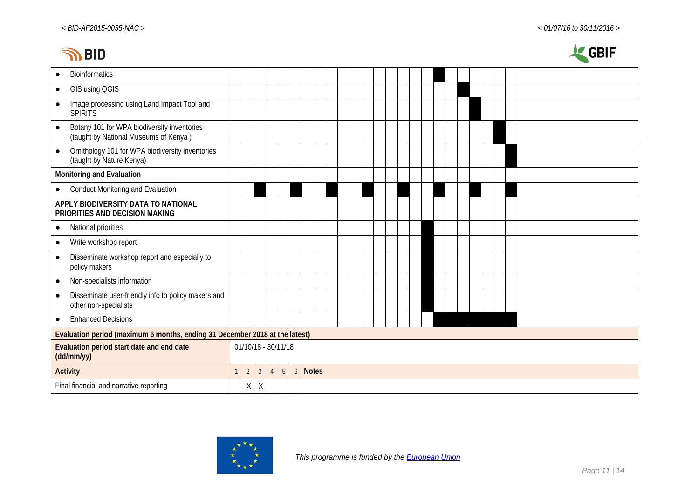# **INBID**



| <b>Bioinformatics</b><br>$\bullet$                                                                |              |                     |                |                |                |                  |       |  |  |  |  |  |  |  |  |  |
|---------------------------------------------------------------------------------------------------|--------------|---------------------|----------------|----------------|----------------|------------------|-------|--|--|--|--|--|--|--|--|--|
| GIS using QGIS<br>$\bullet$                                                                       |              |                     |                |                |                |                  |       |  |  |  |  |  |  |  |  |  |
| Image processing using Land Impact Tool and<br>$\bullet$<br><b>SPIRITS</b>                        |              |                     |                |                |                |                  |       |  |  |  |  |  |  |  |  |  |
| Botany 101 for WPA biodiversity inventories<br>$\bullet$<br>(taught by National Museums of Kenya) |              |                     |                |                |                |                  |       |  |  |  |  |  |  |  |  |  |
| Ornithology 101 for WPA biodiversity inventories<br>$\bullet$<br>(taught by Nature Kenya)         |              |                     |                |                |                |                  |       |  |  |  |  |  |  |  |  |  |
| Monitoring and Evaluation                                                                         |              |                     |                |                |                |                  |       |  |  |  |  |  |  |  |  |  |
| <b>Conduct Monitoring and Evaluation</b><br>$\bullet$                                             |              |                     |                |                |                |                  |       |  |  |  |  |  |  |  |  |  |
| APPLY BIODIVERSITY DATA TO NATIONAL<br>PRIORITIES AND DECISION MAKING                             |              |                     |                |                |                |                  |       |  |  |  |  |  |  |  |  |  |
| National priorities<br>$\bullet$                                                                  |              |                     |                |                |                |                  |       |  |  |  |  |  |  |  |  |  |
| Write workshop report<br>$\bullet$                                                                |              |                     |                |                |                |                  |       |  |  |  |  |  |  |  |  |  |
| Disseminate workshop report and especially to<br>$\bullet$<br>policy makers                       |              |                     |                |                |                |                  |       |  |  |  |  |  |  |  |  |  |
| Non-specialists information<br>$\bullet$                                                          |              |                     |                |                |                |                  |       |  |  |  |  |  |  |  |  |  |
| Disseminate user-friendly info to policy makers and<br>$\bullet$<br>other non-specialists         |              |                     |                |                |                |                  |       |  |  |  |  |  |  |  |  |  |
| <b>Enhanced Decisions</b><br>$\bullet$                                                            |              |                     |                |                |                |                  |       |  |  |  |  |  |  |  |  |  |
| Evaluation period (maximum 6 months, ending 31 December 2018 at the latest)                       |              |                     |                |                |                |                  |       |  |  |  |  |  |  |  |  |  |
| Evaluation period start date and end date<br>(dd/mm/yy)                                           |              | 01/10/18 - 30/11/18 |                |                |                |                  |       |  |  |  |  |  |  |  |  |  |
| <b>Activity</b>                                                                                   | $\mathbf{1}$ | $\overline{2}$      | $\overline{3}$ | $\overline{4}$ | $\overline{5}$ | $\boldsymbol{6}$ | Notes |  |  |  |  |  |  |  |  |  |
| Final financial and narrative reporting                                                           |              | Χ                   | $\mathsf X$    |                |                |                  |       |  |  |  |  |  |  |  |  |  |

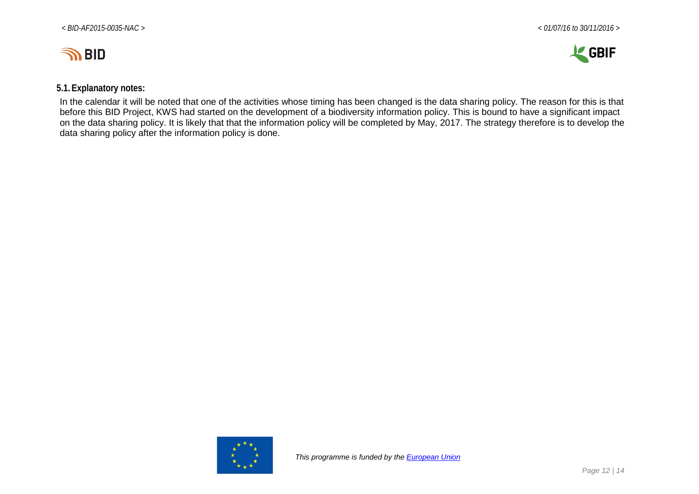



### **5.1.Explanatory notes:**

In the calendar it will be noted that one of the activities whose timing has been changed is the data sharing policy. The reason for this is that before this BID Project, KWS had started on the development of a biodiversity information policy. This is bound to have a significant impact on the data sharing policy. It is likely that that the information policy will be completed by May, 2017. The strategy therefore is to develop the data sharing policy after the information policy is done.

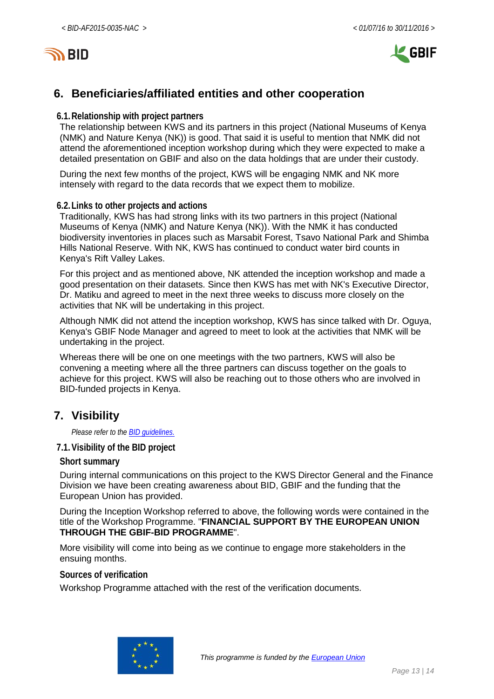

# <span id="page-12-0"></span>**6. Beneficiaries/affiliated entities and other cooperation**

#### **6.1.Relationship with project partners**

The relationship between KWS and its partners in this project (National Museums of Kenya (NMK) and Nature Kenya (NK)) is good. That said it is useful to mention that NMK did not attend the aforementioned inception workshop during which they were expected to make a detailed presentation on GBIF and also on the data holdings that are under their custody.

During the next few months of the project, KWS will be engaging NMK and NK more intensely with regard to the data records that we expect them to mobilize.

#### **6.2.Links to other projects and actions**

Traditionally, KWS has had strong links with its two partners in this project (National Museums of Kenya (NMK) and Nature Kenya (NK)). With the NMK it has conducted biodiversity inventories in places such as Marsabit Forest, Tsavo National Park and Shimba Hills National Reserve. With NK, KWS has continued to conduct water bird counts in Kenya's Rift Valley Lakes.

For this project and as mentioned above, NK attended the inception workshop and made a good presentation on their datasets. Since then KWS has met with NK's Executive Director, Dr. Matiku and agreed to meet in the next three weeks to discuss more closely on the activities that NK will be undertaking in this project.

Although NMK did not attend the inception workshop, KWS has since talked with Dr. Oguya, Kenya's GBIF Node Manager and agreed to meet to look at the activities that NMK will be undertaking in the project.

Whereas there will be one on one meetings with the two partners, KWS will also be convening a meeting where all the three partners can discuss together on the goals to achieve for this project. KWS will also be reaching out to those others who are involved in BID-funded projects in Kenya.

## <span id="page-12-1"></span>**7. Visibility**

*Please refer to th[e BID guidelines.](http://bid.gbif.org/en/community/communication-guidelines/)*

**7.1.Visibility of the BID project**

#### **Short summary**

During internal communications on this project to the KWS Director General and the Finance Division we have been creating awareness about BID, GBIF and the funding that the European Union has provided.

During the Inception Workshop referred to above, the following words were contained in the title of the Workshop Programme. "**FINANCIAL SUPPORT BY THE EUROPEAN UNION THROUGH THE GBIF-BID PROGRAMME**".

More visibility will come into being as we continue to engage more stakeholders in the ensuing months.

**Sources of verification**

Workshop Programme attached with the rest of the verification documents.